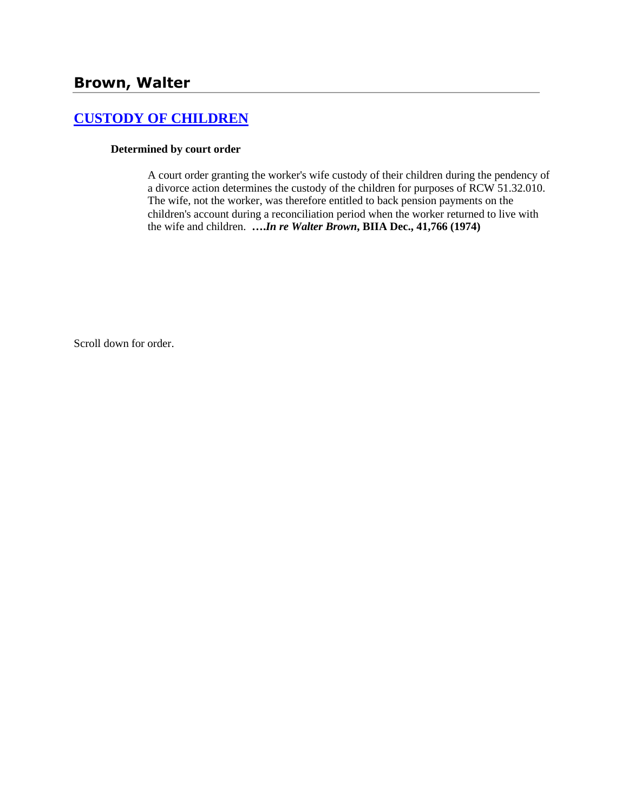## **[CUSTODY OF CHILDREN](http://www.biia.wa.gov/SDSubjectIndex.html#CUSTODY_OF_CHILDREN)**

### **Determined by court order**

A court order granting the worker's wife custody of their children during the pendency of a divorce action determines the custody of the children for purposes of RCW 51.32.010. The wife, not the worker, was therefore entitled to back pension payments on the children's account during a reconciliation period when the worker returned to live with the wife and children. **….***In re Walter Brown***, BIIA Dec., 41,766 (1974)**

Scroll down for order.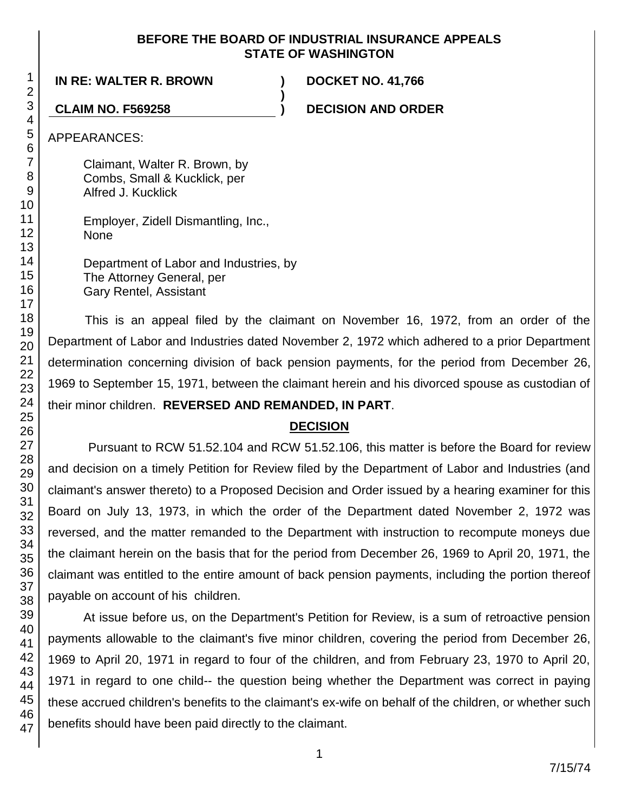### **BEFORE THE BOARD OF INDUSTRIAL INSURANCE APPEALS STATE OF WASHINGTON**

**)**

**IN RE: WALTER R. BROWN ) DOCKET NO. 41,766**

**CLAIM NO. F569258 ) DECISION AND ORDER**

APPEARANCES:

Claimant, Walter R. Brown, by Combs, Small & Kucklick, per Alfred J. Kucklick

Employer, Zidell Dismantling, Inc., None

Department of Labor and Industries, by The Attorney General, per Gary Rentel, Assistant

This is an appeal filed by the claimant on November 16, 1972, from an order of the Department of Labor and Industries dated November 2, 1972 which adhered to a prior Department determination concerning division of back pension payments, for the period from December 26, 1969 to September 15, 1971, between the claimant herein and his divorced spouse as custodian of their minor children. **REVERSED AND REMANDED, IN PART**.

### **DECISION**

Pursuant to RCW 51.52.104 and RCW 51.52.106, this matter is before the Board for review and decision on a timely Petition for Review filed by the Department of Labor and Industries (and claimant's answer thereto) to a Proposed Decision and Order issued by a hearing examiner for this Board on July 13, 1973, in which the order of the Department dated November 2, 1972 was reversed, and the matter remanded to the Department with instruction to recompute moneys due the claimant herein on the basis that for the period from December 26, 1969 to April 20, 1971, the claimant was entitled to the entire amount of back pension payments, including the portion thereof payable on account of his children.

At issue before us, on the Department's Petition for Review, is a sum of retroactive pension payments allowable to the claimant's five minor children, covering the period from December 26, 1969 to April 20, 1971 in regard to four of the children, and from February 23, 1970 to April 20, 1971 in regard to one child-- the question being whether the Department was correct in paying these accrued children's benefits to the claimant's ex-wife on behalf of the children, or whether such benefits should have been paid directly to the claimant.

1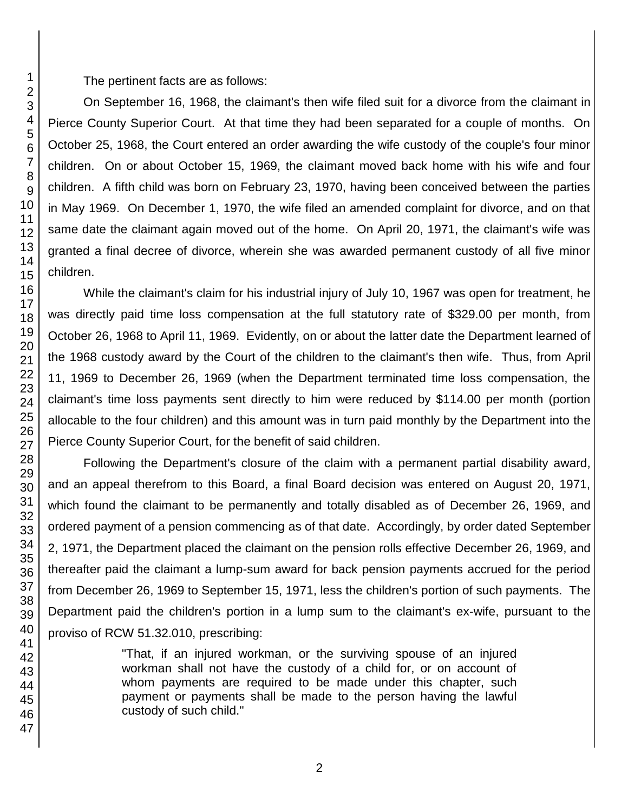The pertinent facts are as follows:

On September 16, 1968, the claimant's then wife filed suit for a divorce from the claimant in Pierce County Superior Court. At that time they had been separated for a couple of months. On October 25, 1968, the Court entered an order awarding the wife custody of the couple's four minor children. On or about October 15, 1969, the claimant moved back home with his wife and four children. A fifth child was born on February 23, 1970, having been conceived between the parties in May 1969. On December 1, 1970, the wife filed an amended complaint for divorce, and on that same date the claimant again moved out of the home. On April 20, 1971, the claimant's wife was granted a final decree of divorce, wherein she was awarded permanent custody of all five minor children.

While the claimant's claim for his industrial injury of July 10, 1967 was open for treatment, he was directly paid time loss compensation at the full statutory rate of \$329.00 per month, from October 26, 1968 to April 11, 1969. Evidently, on or about the latter date the Department learned of the 1968 custody award by the Court of the children to the claimant's then wife. Thus, from April 11, 1969 to December 26, 1969 (when the Department terminated time loss compensation, the claimant's time loss payments sent directly to him were reduced by \$114.00 per month (portion allocable to the four children) and this amount was in turn paid monthly by the Department into the Pierce County Superior Court, for the benefit of said children.

Following the Department's closure of the claim with a permanent partial disability award, and an appeal therefrom to this Board, a final Board decision was entered on August 20, 1971, which found the claimant to be permanently and totally disabled as of December 26, 1969, and ordered payment of a pension commencing as of that date. Accordingly, by order dated September 2, 1971, the Department placed the claimant on the pension rolls effective December 26, 1969, and thereafter paid the claimant a lump-sum award for back pension payments accrued for the period from December 26, 1969 to September 15, 1971, less the children's portion of such payments. The Department paid the children's portion in a lump sum to the claimant's ex-wife, pursuant to the proviso of RCW 51.32.010, prescribing:

> "That, if an injured workman, or the surviving spouse of an injured workman shall not have the custody of a child for, or on account of whom payments are required to be made under this chapter, such payment or payments shall be made to the person having the lawful custody of such child."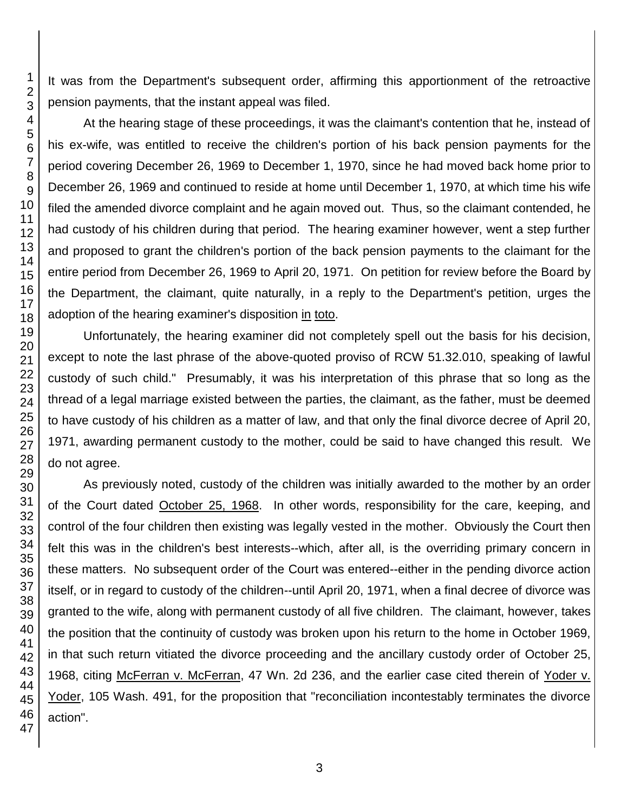It was from the Department's subsequent order, affirming this apportionment of the retroactive pension payments, that the instant appeal was filed.

At the hearing stage of these proceedings, it was the claimant's contention that he, instead of his ex-wife, was entitled to receive the children's portion of his back pension payments for the period covering December 26, 1969 to December 1, 1970, since he had moved back home prior to December 26, 1969 and continued to reside at home until December 1, 1970, at which time his wife filed the amended divorce complaint and he again moved out. Thus, so the claimant contended, he had custody of his children during that period. The hearing examiner however, went a step further and proposed to grant the children's portion of the back pension payments to the claimant for the entire period from December 26, 1969 to April 20, 1971. On petition for review before the Board by the Department, the claimant, quite naturally, in a reply to the Department's petition, urges the adoption of the hearing examiner's disposition in toto.

Unfortunately, the hearing examiner did not completely spell out the basis for his decision, except to note the last phrase of the above-quoted proviso of RCW 51.32.010, speaking of lawful custody of such child." Presumably, it was his interpretation of this phrase that so long as the thread of a legal marriage existed between the parties, the claimant, as the father, must be deemed to have custody of his children as a matter of law, and that only the final divorce decree of April 20, 1971, awarding permanent custody to the mother, could be said to have changed this result. We do not agree.

As previously noted, custody of the children was initially awarded to the mother by an order of the Court dated October 25, 1968. In other words, responsibility for the care, keeping, and control of the four children then existing was legally vested in the mother. Obviously the Court then felt this was in the children's best interests--which, after all, is the overriding primary concern in these matters. No subsequent order of the Court was entered--either in the pending divorce action itself, or in regard to custody of the children--until April 20, 1971, when a final decree of divorce was granted to the wife, along with permanent custody of all five children. The claimant, however, takes the position that the continuity of custody was broken upon his return to the home in October 1969, in that such return vitiated the divorce proceeding and the ancillary custody order of October 25, 1968, citing McFerran v. McFerran, 47 Wn. 2d 236, and the earlier case cited therein of Yoder v. Yoder, 105 Wash. 491, for the proposition that "reconciliation incontestably terminates the divorce action".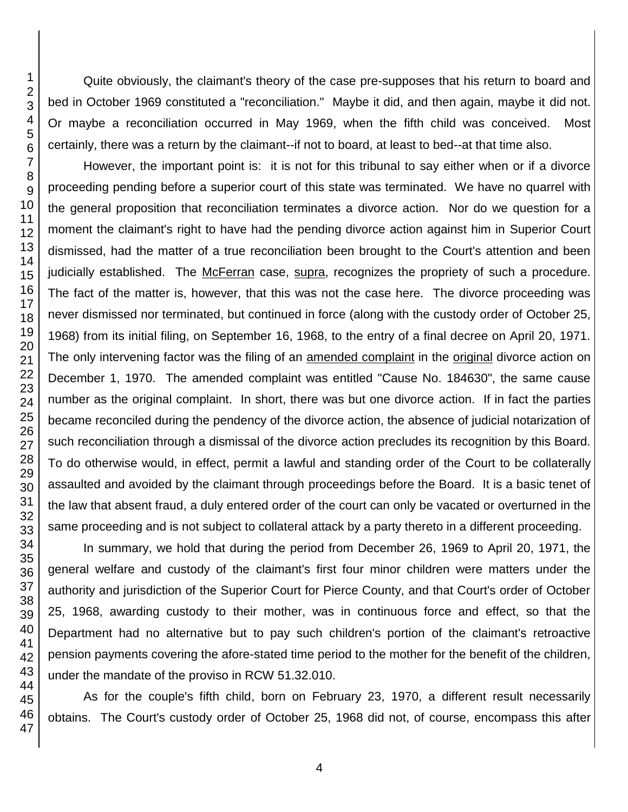Quite obviously, the claimant's theory of the case pre-supposes that his return to board and bed in October 1969 constituted a "reconciliation." Maybe it did, and then again, maybe it did not. Or maybe a reconciliation occurred in May 1969, when the fifth child was conceived. Most certainly, there was a return by the claimant--if not to board, at least to bed--at that time also.

However, the important point is: it is not for this tribunal to say either when or if a divorce proceeding pending before a superior court of this state was terminated. We have no quarrel with the general proposition that reconciliation terminates a divorce action. Nor do we question for a moment the claimant's right to have had the pending divorce action against him in Superior Court dismissed, had the matter of a true reconciliation been brought to the Court's attention and been judicially established. The McFerran case, supra, recognizes the propriety of such a procedure. The fact of the matter is, however, that this was not the case here. The divorce proceeding was never dismissed nor terminated, but continued in force (along with the custody order of October 25, 1968) from its initial filing, on September 16, 1968, to the entry of a final decree on April 20, 1971. The only intervening factor was the filing of an amended complaint in the original divorce action on December 1, 1970. The amended complaint was entitled "Cause No. 184630", the same cause number as the original complaint. In short, there was but one divorce action. If in fact the parties became reconciled during the pendency of the divorce action, the absence of judicial notarization of such reconciliation through a dismissal of the divorce action precludes its recognition by this Board. To do otherwise would, in effect, permit a lawful and standing order of the Court to be collaterally assaulted and avoided by the claimant through proceedings before the Board. It is a basic tenet of the law that absent fraud, a duly entered order of the court can only be vacated or overturned in the same proceeding and is not subject to collateral attack by a party thereto in a different proceeding.

In summary, we hold that during the period from December 26, 1969 to April 20, 1971, the general welfare and custody of the claimant's first four minor children were matters under the authority and jurisdiction of the Superior Court for Pierce County, and that Court's order of October 25, 1968, awarding custody to their mother, was in continuous force and effect, so that the Department had no alternative but to pay such children's portion of the claimant's retroactive pension payments covering the afore-stated time period to the mother for the benefit of the children, under the mandate of the proviso in RCW 51.32.010.

As for the couple's fifth child, born on February 23, 1970, a different result necessarily obtains. The Court's custody order of October 25, 1968 did not, of course, encompass this after